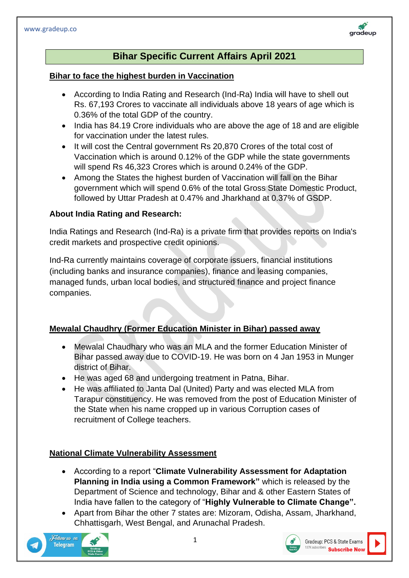

#### **Bihar to face the highest burden in Vaccination**

- According to India Rating and Research (Ind-Ra) India will have to shell out Rs. 67,193 Crores to vaccinate all individuals above 18 years of age which is 0.36% of the total GDP of the country.
- India has 84.19 Crore individuals who are above the age of 18 and are eligible for vaccination under the latest rules.
- It will cost the Central government Rs 20,870 Crores of the total cost of Vaccination which is around 0.12% of the GDP while the state governments will spend Rs 46,323 Crores which is around 0.24% of the GDP.
- Among the States the highest burden of Vaccination will fall on the Bihar government which will spend 0.6% of the total Gross State Domestic Product, followed by Uttar Pradesh at 0.47% and Jharkhand at 0.37% of GSDP.

#### **About India Rating and Research:**

India Ratings and Research (Ind-Ra) is a private firm that provides reports on India's credit markets and prospective credit opinions.

Ind-Ra currently maintains coverage of corporate issuers, financial institutions (including banks and insurance companies), finance and leasing companies, managed funds, urban local bodies, and structured finance and project finance companies.

## **Mewalal Chaudhry (Former Education Minister in Bihar) passed away**

- Mewalal Chaudhary who was an MLA and the former Education Minister of Bihar passed away due to COVID-19. He was born on 4 Jan 1953 in Munger district of Bihar.
- He was aged 68 and undergoing treatment in Patna, Bihar.
- He was affiliated to Janta Dal (United) Party and was elected MLA from Tarapur constituency. He was removed from the post of Education Minister of the State when his name cropped up in various Corruption cases of recruitment of College teachers.

## **National Climate Vulnerability Assessment**

- According to a report "**Climate Vulnerability Assessment for Adaptation Planning in India using a Common Framework"** which is released by the Department of Science and technology, Bihar and & other Eastern States of India have fallen to the category of "**Highly Vulnerable to Climate Change".**
- Apart from Bihar the other 7 states are: Mizoram, Odisha, Assam, Jharkhand, Chhattisgarh, West Bengal, and Arunachal Pradesh.









gradeup